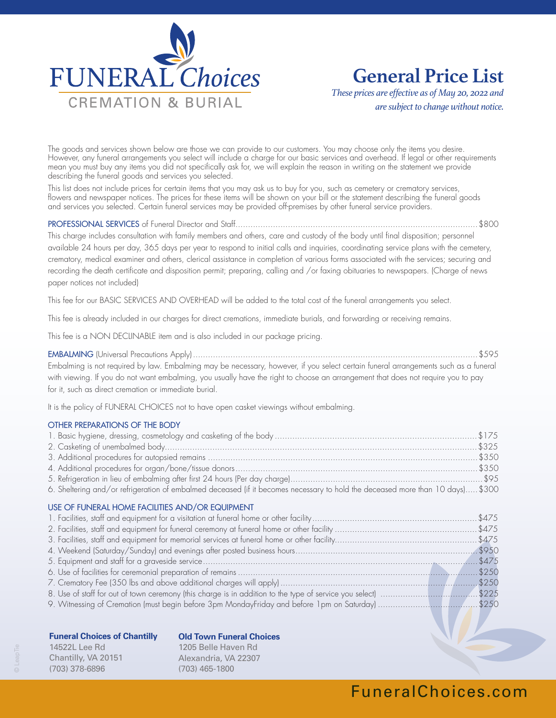

# **General Price List**

*These prices are effective as of May 20, 2022 and are subject to change without notice.*

The goods and services shown below are those we can provide to our customers. You may choose only the items you desire. However, any funeral arrangements you select will include a charge for our basic services and overhead. If legal or other requirements mean you must buy any items you did not specifically ask for, we will explain the reason in writing on the statement we provide describing the funeral goods and services you selected.

This list does not include prices for certain items that you may ask us to buy for you, such as cemetery or crematory services, flowers and newspaper notices. The prices for these items will be shown on your bill or the statement describing the funeral goods and services you selected. Certain funeral services may be provided off-premises by other funeral service providers.

PROFESSIONAL SERVICES of Funeral Director and Staff.................................................................................................\$800

This charge includes consultation with family members and others, care and custody of the body until final disposition; personnel available 24 hours per day, 365 days per year to respond to initial calls and inquiries, coordinating service plans with the cemetery, crematory, medical examiner and others, clerical assistance in completion of various forms associated with the services; securing and recording the death certificate and disposition permit; preparing, calling and /or faxing obituaries to newspapers. (Charge of news paper notices not included)

This fee for our BASIC SERVICES AND OVERHEAD will be added to the total cost of the funeral arrangements you select.

This fee is already included in our charges for direct cremations, immediate burials, and forwarding or receiving remains.

This fee is a NON DECLINABLE item and is also included in our package pricing.

EMBALMING (Universal Precautions Apply)..................................................................................................................\$595 Embalming is not required by law. Embalming may be necessary, however, if you select certain funeral arrangements such as a funeral with viewing. If you do not want embalming, you usually have the right to choose an arrangement that does not require you to pay for it, such as direct cremation or immediate burial.

It is the policy of FUNERAL CHOICES not to have open casket viewings without embalming.

#### OTHER PREPARATIONS OF THE BODY

| 6. Sheltering and/or refrigeration of embalmed deceased (if it becomes necessary to hold the deceased more than 10 days) \$300 |  |
|--------------------------------------------------------------------------------------------------------------------------------|--|
| USE OF FUNERAL HOME FACILITIES AND/OR EQUIPMENT                                                                                |  |
|                                                                                                                                |  |
|                                                                                                                                |  |
|                                                                                                                                |  |
|                                                                                                                                |  |
|                                                                                                                                |  |
|                                                                                                                                |  |
|                                                                                                                                |  |
| 8. Use of staff for out of town ceremony (this charge is in addition to the type of service you select) \$225                  |  |
| 9. Witnessing of Cremation (must begin before 3pm MondayFriday and before 1pm on Saturday) \$250                               |  |

#### **Funeral Choices of Chantilly**

**Old Town Funeral Choices**

14522L Lee Rd Chantilly, VA 20151 (703) 378-6896

1205 Belle Haven Rd Alexandria, VA 22307 (703) 465-1800

# FuneralChoices.com